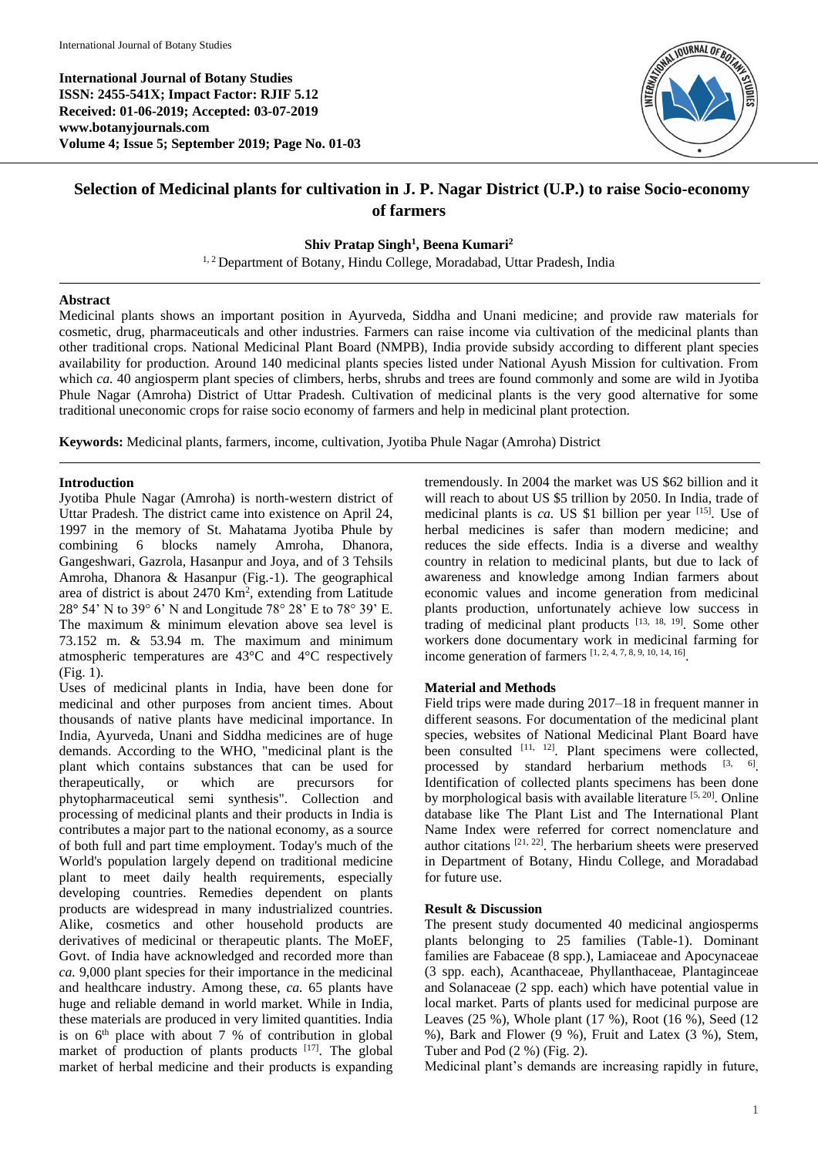**International Journal of Botany Studies ISSN: 2455-541X; Impact Factor: RJIF 5.12 Received: 01-06-2019; Accepted: 03-07-2019 www.botanyjournals.com Volume 4; Issue 5; September 2019; Page No. 01-03**



# **Selection of Medicinal plants for cultivation in J. P. Nagar District (U.P.) to raise Socio-economy of farmers**

## **Shiv Pratap Singh<sup>1</sup> , Beena Kumari<sup>2</sup>**

<sup>1, 2</sup> Department of Botany, Hindu College, Moradabad, Uttar Pradesh, India

### **Abstract**

Medicinal plants shows an important position in Ayurveda, Siddha and Unani medicine; and provide raw materials for cosmetic, drug, pharmaceuticals and other industries. Farmers can raise income via cultivation of the medicinal plants than other traditional crops. National Medicinal Plant Board (NMPB), India provide subsidy according to different plant species availability for production. Around 140 medicinal plants species listed under National Ayush Mission for cultivation. From which *ca.* 40 angiosperm plant species of climbers, herbs, shrubs and trees are found commonly and some are wild in Jyotiba Phule Nagar (Amroha) District of Uttar Pradesh. Cultivation of medicinal plants is the very good alternative for some traditional uneconomic crops for raise socio economy of farmers and help in medicinal plant protection.

**Keywords:** Medicinal plants, farmers, income, cultivation, Jyotiba Phule Nagar (Amroha) District

## **Introduction**

Jyotiba Phule Nagar (Amroha) is north-western district of Uttar Pradesh. The district came into existence on April 24, 1997 in the memory of St. Mahatama Jyotiba Phule by combining 6 blocks namely Amroha, Dhanora, Gangeshwari, Gazrola, Hasanpur and Joya, and of 3 Tehsils Amroha, Dhanora & Hasanpur (Fig.‐1). The geographical area of district is about 2470 Km<sup>2</sup>, extending from Latitude 28**°** 54' N to 39° 6' N and Longitude 78° 28' E to 78° 39' E. The maximum & minimum elevation above sea level is 73.152 m. & 53.94 m. The maximum and minimum atmospheric temperatures are 43°C and 4°C respectively (Fig. 1).

Uses of medicinal plants in India, have been done for medicinal and other purposes from ancient times. About thousands of native plants have medicinal importance. In India, Ayurveda, Unani and Siddha medicines are of huge demands. According to the WHO, "medicinal plant is the plant which contains substances that can be used for therapeutically, or which are precursors for phytopharmaceutical semi synthesis". Collection and processing of medicinal plants and their products in India is contributes a major part to the national economy, as a source of both full and part time employment. Today's much of the World's population largely depend on traditional medicine plant to meet daily health requirements, especially developing countries. Remedies dependent on plants products are widespread in many industrialized countries. Alike, cosmetics and other household products are derivatives of medicinal or therapeutic plants. The MoEF, Govt. of India have acknowledged and recorded more than *ca.* 9,000 plant species for their importance in the medicinal and healthcare industry. Among these, *ca.* 65 plants have huge and reliable demand in world market. While in India, these materials are produced in very limited quantities. India is on  $6<sup>th</sup>$  place with about 7 % of contribution in global market of production of plants products  $[17]$ . The global market of herbal medicine and their products is expanding

tremendously. In 2004 the market was US \$62 billion and it will reach to about US \$5 trillion by 2050. In India, trade of medicinal plants is *ca.* US \$1 billion per year [15]. Use of herbal medicines is safer than modern medicine; and reduces the side effects. India is a diverse and wealthy country in relation to medicinal plants, but due to lack of awareness and knowledge among Indian farmers about economic values and income generation from medicinal plants production, unfortunately achieve low success in trading of medicinal plant products  $[13, 18, 19]$ . Some other workers done documentary work in medicinal farming for income generation of farmers  $[1, 2, 4, 7, 8, 9, 10, 14, 16]$ .

## **Material and Methods**

Field trips were made during 2017–18 in frequent manner in different seasons. For documentation of the medicinal plant species, websites of National Medicinal Plant Board have been consulted <sup>[11, 12]</sup>. Plant specimens were collected, processed by standard herbarium methods  $[3, 6]$ . Identification of collected plants specimens has been done by morphological basis with available literature  $[5, 20]$ . Online database like The Plant List and The International Plant Name Index were referred for correct nomenclature and author citations  $[21, 22]$ . The herbarium sheets were preserved in Department of Botany, Hindu College, and Moradabad for future use.

#### **Result & Discussion**

The present study documented 40 medicinal angiosperms plants belonging to 25 families (Table-1). Dominant families are Fabaceae (8 spp.), Lamiaceae and Apocynaceae (3 spp. each), Acanthaceae, Phyllanthaceae, Plantaginceae and Solanaceae (2 spp. each) which have potential value in local market. Parts of plants used for medicinal purpose are Leaves (25 %), Whole plant (17 %), Root (16 %), Seed (12 %), Bark and Flower (9 %), Fruit and Latex (3 %), Stem, Tuber and Pod (2 %) (Fig. 2).

Medicinal plant's demands are increasing rapidly in future,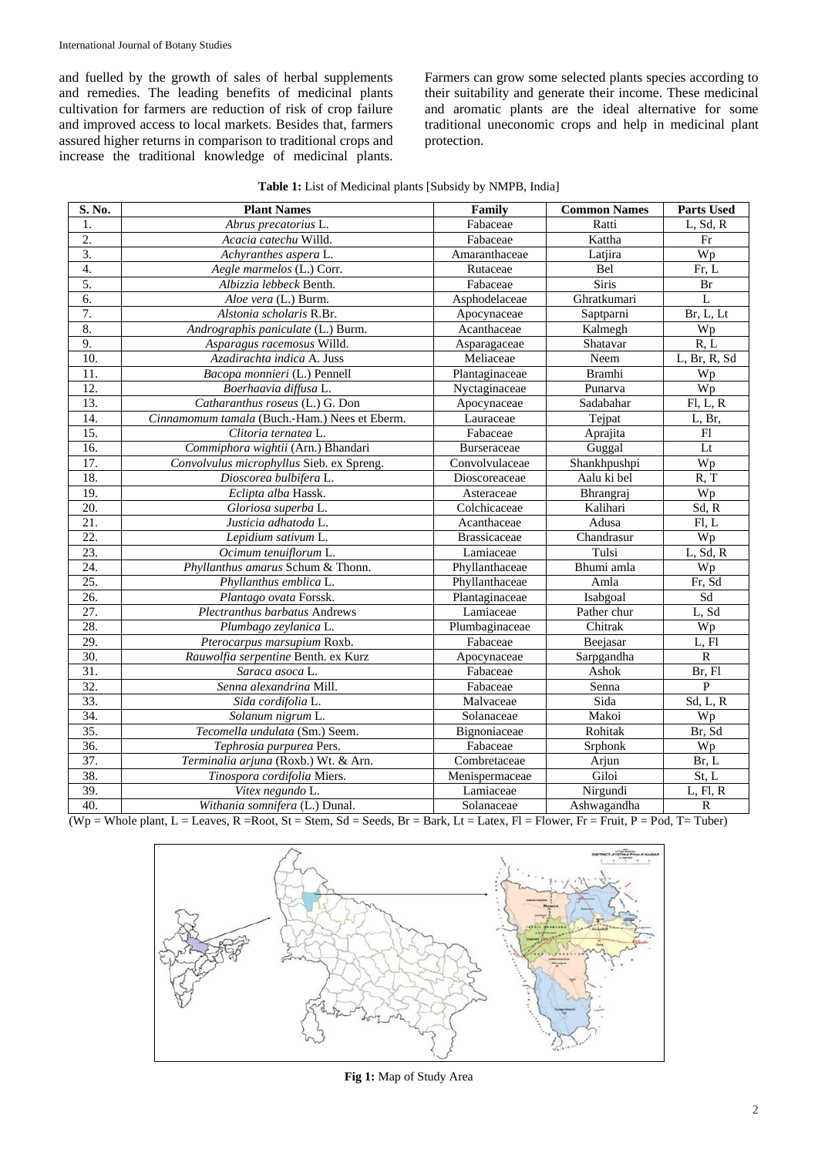and fuelled by the growth of sales of herbal supplements and remedies. The leading benefits of medicinal plants cultivation for farmers are reduction of risk of crop failure and improved access to local markets. Besides that, farmers assured higher returns in comparison to traditional crops and increase the traditional knowledge of medicinal plants.

Farmers can grow some selected plants species according to their suitability and generate their income. These medicinal and aromatic plants are the ideal alternative for some traditional uneconomic crops and help in medicinal plant protection.

| S. No.            | <b>Plant Names</b>                            | Family              | <b>Common Names</b> | <b>Parts Used</b> |
|-------------------|-----------------------------------------------|---------------------|---------------------|-------------------|
| 1.                | Abrus precatorius L.                          | Fabaceae            | Ratti               | L, Sd, R          |
| $\overline{2}$ .  | Acacia catechu Willd.                         | Fabaceae            | Kattha              | Fr                |
| 3.                | Achyranthes aspera L.                         | Amaranthaceae       | Latjira             | Wp                |
| $\overline{4}$ .  | Aegle marmelos (L.) Corr.                     | Rutaceae            | Bel                 | Fr, L             |
| 5.                | Albizzia lebbeck Benth.                       | Fabaceae            | Siris               | Br                |
| 6.                | Aloe vera (L.) Burm.                          | Asphodelaceae       | Ghratkumari         | L                 |
| 7.                | Alstonia scholaris R.Br.                      | Apocynaceae         | Saptparni           | Br, L, Lt         |
| 8.                | Andrographis paniculate (L.) Burm.            | Acanthaceae         | Kalmegh             | Wp                |
| 9.                | Asparagus racemosus Willd.                    | Asparagaceae        | Shatavar            | R, L              |
| 10.               | Azadirachta indica A. Juss                    | Meliaceae           | Neem                | L, Br, R, Sd      |
| 11.               | Bacopa monnieri (L.) Pennell                  | Plantaginaceae      | <b>Bramhi</b>       | Wp                |
| $\overline{12}$ . | Boerhaavia diffusa L.                         | Nyctaginaceae       | Punarva             | Wp                |
| 13.               | Catharanthus roseus (L.) G. Don               | Apocynaceae         | Sadabahar           | F1, L, R          |
| 14.               | Cinnamomum tamala (Buch.-Ham.) Nees et Eberm. | Lauraceae           | Tejpat              | L, Br,            |
| 15.               | Clitoria ternatea L.                          | Fabaceae            | Aprajita            | F1                |
| 16.               | Commiphora wightii (Arn.) Bhandari            | <b>Burseraceae</b>  | Guggal              | Lt                |
| 17.               | Convolvulus microphyllus Sieb. ex Spreng.     | Convolvulaceae      | Shankhpushpi        | Wp                |
| 18.               | Dioscorea bulbifera L.                        | Dioscoreaceae       | Aalu ki bel         | R, T              |
| 19.               | Eclipta alba Hassk.                           | Asteraceae          | Bhrangraj           | Wp                |
| 20.               | Gloriosa superba L.                           | Colchicaceae        | Kalihari            | Sd, R             |
| 21.               | Justicia adhatoda L.                          | Acanthaceae         | Adusa               | Fl, L             |
| 22.               | Lepidium sativum L.                           | <b>Brassicaceae</b> | Chandrasur          | Wp                |
| 23.               | Ocimum tenuiflorum L.                         | Lamiaceae           | Tulsi               | L, Sd, R          |
| 24.               | Phyllanthus amarus Schum & Thonn.             | Phyllanthaceae      | Bhumi amla          | Wp                |
| 25.               | Phyllanthus emblica L.                        | Phyllanthaceae      | Amla                | Fr, Sd            |
| $\overline{26}$ . | Plantago ovata Forssk.                        | Plantaginaceae      | Isabgoal            | Sd                |
| $\overline{27}$ . | Plectranthus barbatus Andrews                 | Lamiaceae           | Pather chur         | L, Sd             |
| 28.               | Plumbago zeylanica L.                         | Plumbaginaceae      | Chitrak             | Wp                |
| 29.               | Pterocarpus marsupium Roxb.                   | Fabaceae            | Beejasar            | L, Fl             |
| 30.               | Rauwolfia serpentine Benth. ex Kurz           | Apocynaceae         | Sarpgandha          | $\mathbb{R}$      |
| 31.               | Saraca asoca L.                               | Fabaceae            | Ashok               | Br, Fl            |
| $\overline{32}$ . | Senna alexandrina Mill.                       | Fabaceae            | Senna               | $\, {\bf P}$      |
| 33.               | Sida cordifolia L.                            | Malvaceae           | Sida                | Sd, L, R          |
| 34.               | Solanum nigrum L.                             | Solanaceae          | Makoi               | Wp                |
| 35.               | Tecomella undulata (Sm.) Seem.                | Bignoniaceae        | Rohitak             | Br, Sd            |
| 36.               | Tephrosia purpurea Pers.                      | Fabaceae            | Srphonk             | Wp                |
| $\overline{37}$ . | Terminalia arjuna (Roxb.) Wt. & Arn.          | Combretaceae        | Arjun               | Br, L             |
| 38.               | Tinospora cordifolia Miers.                   | Menispermaceae      | Giloi               | St, L             |
| 39.               | Vitex negundo L.                              | Lamiaceae           | Nirgundi            | L, Fl, R          |
| 40.               | Withania somnifera (L.) Dunal.                | Solanaceae          | Ashwagandha         | ${\bf R}$         |

**Table 1:** List of Medicinal plants [Subsidy by NMPB, India]

 $(Wp = Whole plant, L = Leaves, R = Root, St = Stem, Sd = Seeds, Br = Bark, Lt = Latex, Fl = Flower, Fr = Fruit, P = Pod, T = Tuber)$ 



**Fig 1:** Map of Study Area